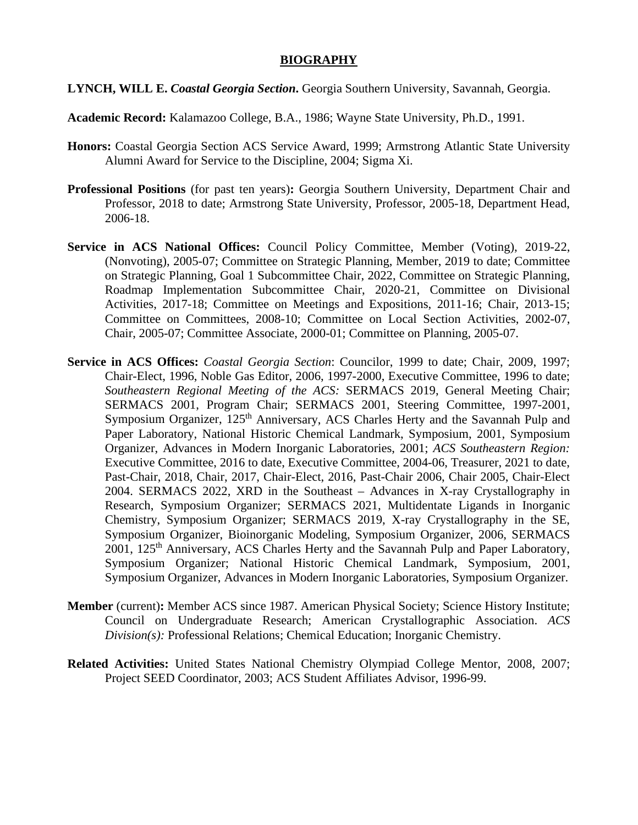## **BIOGRAPHY**

- **LYNCH, WILL E.** *Coastal Georgia Section***.** Georgia Southern University, Savannah, Georgia.
- **Academic Record:** Kalamazoo College, B.A., 1986; Wayne State University, Ph.D., 1991.
- **Honors:** Coastal Georgia Section ACS Service Award, 1999; Armstrong Atlantic State University Alumni Award for Service to the Discipline, 2004; Sigma Xi.
- **Professional Positions** (for past ten years)**:** Georgia Southern University, Department Chair and Professor, 2018 to date; Armstrong State University, Professor, 2005-18, Department Head, 2006-18.
- **Service in ACS National Offices:** Council Policy Committee, Member (Voting), 2019-22, (Nonvoting), 2005-07; Committee on Strategic Planning, Member, 2019 to date; Committee on Strategic Planning, Goal 1 Subcommittee Chair, 2022, Committee on Strategic Planning, Roadmap Implementation Subcommittee Chair, 2020-21, Committee on Divisional Activities, 2017-18; Committee on Meetings and Expositions, 2011-16; Chair, 2013-15; Committee on Committees, 2008-10; Committee on Local Section Activities, 2002-07, Chair, 2005-07; Committee Associate, 2000-01; Committee on Planning, 2005-07.
- **Service in ACS Offices:** *Coastal Georgia Section*: Councilor, 1999 to date; Chair, 2009, 1997; Chair-Elect, 1996, Noble Gas Editor, 2006, 1997-2000, Executive Committee, 1996 to date; *Southeastern Regional Meeting of the ACS:* SERMACS 2019, General Meeting Chair; SERMACS 2001, Program Chair; SERMACS 2001, Steering Committee, 1997-2001, Symposium Organizer, 125<sup>th</sup> Anniversary, ACS Charles Herty and the Savannah Pulp and Paper Laboratory, National Historic Chemical Landmark, Symposium, 2001, Symposium Organizer, Advances in Modern Inorganic Laboratories, 2001; *ACS Southeastern Region:* Executive Committee, 2016 to date, Executive Committee, 2004-06, Treasurer, 2021 to date, Past-Chair, 2018, Chair, 2017, Chair-Elect, 2016, Past-Chair 2006, Chair 2005, Chair-Elect 2004. SERMACS 2022, XRD in the Southeast – Advances in X-ray Crystallography in Research, Symposium Organizer; SERMACS 2021, Multidentate Ligands in Inorganic Chemistry, Symposium Organizer; SERMACS 2019, X-ray Crystallography in the SE, Symposium Organizer, Bioinorganic Modeling, Symposium Organizer, 2006, SERMACS 2001, 125<sup>th</sup> Anniversary, ACS Charles Herty and the Savannah Pulp and Paper Laboratory, Symposium Organizer; National Historic Chemical Landmark, Symposium, 2001, Symposium Organizer, Advances in Modern Inorganic Laboratories, Symposium Organizer.
- **Member** (current)**:** Member ACS since 1987. American Physical Society; Science History Institute; Council on Undergraduate Research; American Crystallographic Association. *ACS Division(s):* Professional Relations; Chemical Education; Inorganic Chemistry.
- **Related Activities:** United States National Chemistry Olympiad College Mentor, 2008, 2007; Project SEED Coordinator, 2003; ACS Student Affiliates Advisor, 1996-99.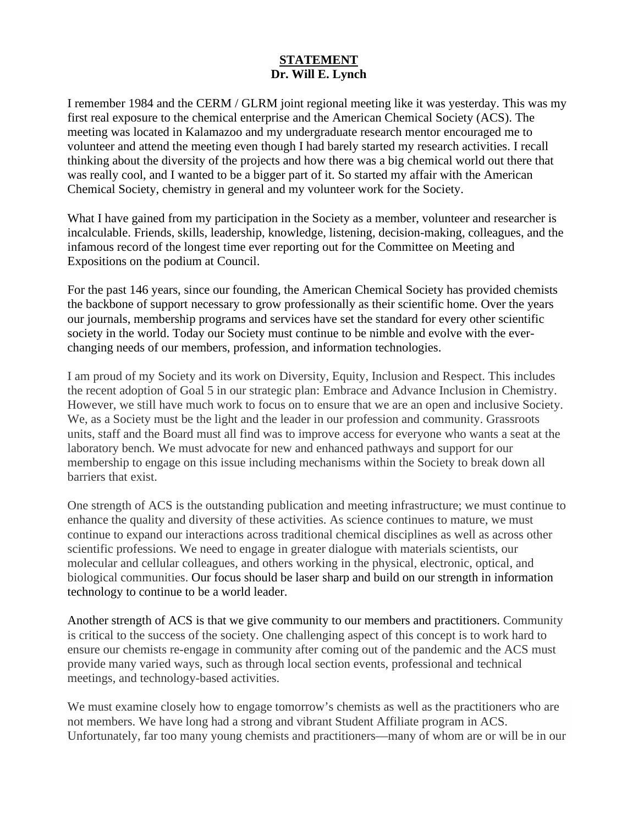## **STATEMENT Dr. Will E. Lynch**

I remember 1984 and the CERM / GLRM joint regional meeting like it was yesterday. This was my first real exposure to the chemical enterprise and the American Chemical Society (ACS). The meeting was located in Kalamazoo and my undergraduate research mentor encouraged me to volunteer and attend the meeting even though I had barely started my research activities. I recall thinking about the diversity of the projects and how there was a big chemical world out there that was really cool, and I wanted to be a bigger part of it. So started my affair with the American Chemical Society, chemistry in general and my volunteer work for the Society.

What I have gained from my participation in the Society as a member, volunteer and researcher is incalculable. Friends, skills, leadership, knowledge, listening, decision-making, colleagues, and the infamous record of the longest time ever reporting out for the Committee on Meeting and Expositions on the podium at Council.

For the past 146 years, since our founding, the American Chemical Society has provided chemists the backbone of support necessary to grow professionally as their scientific home. Over the years our journals, membership programs and services have set the standard for every other scientific society in the world. Today our Society must continue to be nimble and evolve with the everchanging needs of our members, profession, and information technologies.

I am proud of my Society and its work on Diversity, Equity, Inclusion and Respect. This includes the recent adoption of Goal 5 in our strategic plan: Embrace and Advance Inclusion in Chemistry. However, we still have much work to focus on to ensure that we are an open and inclusive Society. We, as a Society must be the light and the leader in our profession and community. Grassroots units, staff and the Board must all find was to improve access for everyone who wants a seat at the laboratory bench. We must advocate for new and enhanced pathways and support for our membership to engage on this issue including mechanisms within the Society to break down all barriers that exist.

One strength of ACS is the outstanding publication and meeting infrastructure; we must continue to enhance the quality and diversity of these activities. As science continues to mature, we must continue to expand our interactions across traditional chemical disciplines as well as across other scientific professions. We need to engage in greater dialogue with materials scientists, our molecular and cellular colleagues, and others working in the physical, electronic, optical, and biological communities. Our focus should be laser sharp and build on our strength in information technology to continue to be a world leader.

Another strength of ACS is that we give community to our members and practitioners. Community is critical to the success of the society. One challenging aspect of this concept is to work hard to ensure our chemists re-engage in community after coming out of the pandemic and the ACS must provide many varied ways, such as through local section events, professional and technical meetings, and technology-based activities.

We must examine closely how to engage tomorrow's chemists as well as the practitioners who are not members. We have long had a strong and vibrant Student Affiliate program in ACS. Unfortunately, far too many young chemists and practitioners—many of whom are or will be in our